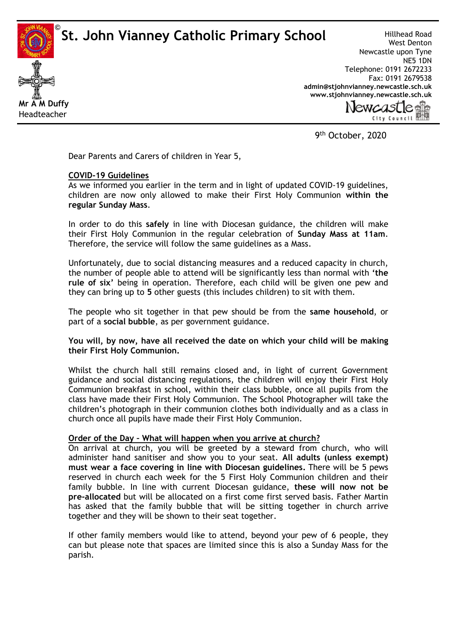**St. John Vianney Catholic Primary School** 



Hillhead Road West Denton Newcastle upon Tyne NE5 1DN Telephone: 0191 2672233 Fax: 0191 2679538 **[admin@stjohnvianney.newcastle.sch.uk](mailto:admin@stjohnvianney.newcastle.sch.uk) [www.stjohnvianney.newcastle.sch.uk](http://www.stjohnvianney.newcastle.sch.uk/)**

City Council EN

9<sup>th</sup> October, 2020

Dear Parents and Carers of children in Year 5,

## **COVID-19 Guidelines**

As we informed you earlier in the term and in light of updated COVID-19 guidelines, children are now only allowed to make their First Holy Communion **within the regular Sunday Mass**.

In order to do this **safely** in line with Diocesan guidance, the children will make their First Holy Communion in the regular celebration of **Sunday Mass at 11am**. Therefore, the service will follow the same guidelines as a Mass.

Unfortunately, due to social distancing measures and a reduced capacity in church, the number of people able to attend will be significantly less than normal with **'the rule of six'** being in operation. Therefore, each child will be given one pew and they can bring up to **5** other guests (this includes children) to sit with them.

The people who sit together in that pew should be from the **same household**, or part of a **social bubble**, as per government guidance.

**You will, by now, have all received the date on which your child will be making their First Holy Communion.**

Whilst the church hall still remains closed and, in light of current Government guidance and social distancing regulations, the children will enjoy their First Holy Communion breakfast in school, within their class bubble, once all pupils from the class have made their First Holy Communion. The School Photographer will take the children's photograph in their communion clothes both individually and as a class in church once all pupils have made their First Holy Communion.

## **Order of the Day – What will happen when you arrive at church?**

On arrival at church, you will be greeted by a steward from church, who will administer hand sanitiser and show you to your seat. **All adults (unless exempt) must wear a face covering in line with Diocesan guidelines.** There will be 5 pews reserved in church each week for the 5 First Holy Communion children and their family bubble. In line with current Diocesan guidance, **these will now not be pre-allocated** but will be allocated on a first come first served basis. Father Martin has asked that the family bubble that will be sitting together in church arrive together and they will be shown to their seat together.

If other family members would like to attend, beyond your pew of 6 people, they can but please note that spaces are limited since this is also a Sunday Mass for the parish.